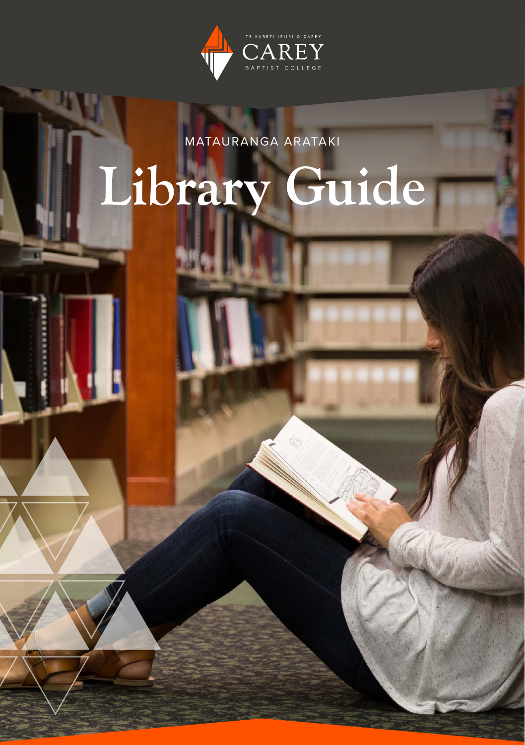

MATAURANGA ARATAKI

# **Library Guide**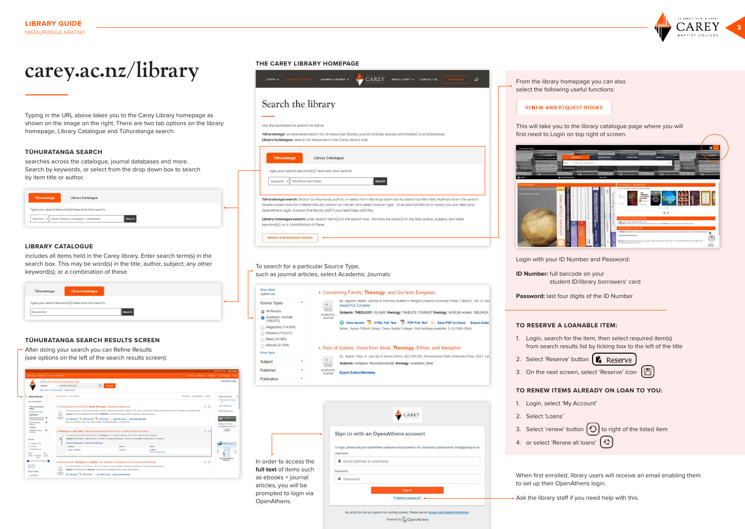

 $(\mathbb{B})$ ചെ

### Carey.ac.nz/library **Carey LIBRARY HOMEPAGE**

Typing in the URL above takes you to the Carey Library homepage as shown on the image on the right. There are two tab options on the library homepage, Library Catalogue and Tūhuratanga search.

#### **TŪHURATANGA SEARCH**

searches across the catalogue, journal databases and more. Search by keywords, or select from the drop down box to search by item title or author.



#### **LIBRARY CATALOGUE**

includes all items held in the Carey library. Enter search term(s) in the search box. This may be word(s) in the title, author, subject; any other keyword(s); or a combination of these.



### **TŪHURATANGA SEARCH RESULTS SCREEN**

After doing your search you can Refine Results (see options on the left of the search results screen):

|                                                          |          | New Search Mottenedia Home Publications                                                                              |                                                                                                                                                                                                                                             |                                                                                                                                                  |                                             | # Folder Preferences Language - AdvA Librarian 1980 | Update Mr. Account Switch Accounts       |
|----------------------------------------------------------|----------|----------------------------------------------------------------------------------------------------------------------|---------------------------------------------------------------------------------------------------------------------------------------------------------------------------------------------------------------------------------------------|--------------------------------------------------------------------------------------------------------------------------------------------------|---------------------------------------------|-----------------------------------------------------|------------------------------------------|
|                                                          |          |                                                                                                                      | Selecting Discovery Service for Carey Baptist College                                                                                                                                                                                       |                                                                                                                                                  |                                             |                                                     | Carey Boottet College                    |
|                                                          | Keyword  | 同<br>Search <b>D</b><br>. theology of the body                                                                       |                                                                                                                                                                                                                                             |                                                                                                                                                  |                                             |                                                     |                                          |
|                                                          |          |                                                                                                                      | Basic Search Advanced Search Search History .                                                                                                                                                                                               |                                                                                                                                                  |                                             |                                                     |                                          |
| <b>Refine Results</b>                                    |          | Relevance Page Options . Share .<br>Search Results: 1 - 12 of 149.041                                                |                                                                                                                                                                                                                                             |                                                                                                                                                  |                                             |                                                     | Folder has dams                          |
| Current Search                                           |          |                                                                                                                      |                                                                                                                                                                                                                                             |                                                                                                                                                  |                                             |                                                     | · The Sannon of Cost A<br>u              |
| Find all my search                                       |          |                                                                                                                      | 1. The War Against Covid-19 and Body Theology: A Relational Response.                                                                                                                                                                       |                                                                                                                                                  |                                             | $\overline{\omega}$ Ro                              | Go by Fedder Mass                        |
| terms:<br>theology of the body                           |          |                                                                                                                      | Br. McDrox Lauren Journal of Feninst Studes in Religion (Indiana Litvieraty Press) . FaldS21. Vol. 37 Issue 2, p103-118. 16g. Publisher: Indiana University Press . Database: Complementary Index                                           |                                                                                                                                                  |                                             |                                                     | Other Resources                          |
| Expanders                                                |          | ü                                                                                                                    |                                                                                                                                                                                                                                             | Subjects: COVID-19, IMADINATION, GESTURE: THEOLOGY, COVITION, (Psychology), COVID-19 pandemic, VISAL statements                                  |                                             |                                                     |                                          |
| <b>January African Tel:</b><br>full text of the articles |          | Academic<br><b>ANSWAR</b>                                                                                            |                                                                                                                                                                                                                                             | C View recent To HTM, Full Text To POT Full Text (D) Serve FOT to Cloud Export Zotero Members                                                    |                                             |                                                     | <b>BUE TERMASSIO</b>                     |
| Apply equivalent<br>subjects.                            | $\Box$   |                                                                                                                      | Notes: Ayson Clifford Library Carey Bacted College: Print boldcass ayallable: 5-10/1989-1994)                                                                                                                                               |                                                                                                                                                  |                                             |                                                     | theology of the body                     |
| Limiters                                                 |          |                                                                                                                      |                                                                                                                                                                                                                                             |                                                                                                                                                  |                                             |                                                     | New Zealand Libraries' Cz w              |
| Available in Library<br>Colection                        | $\Omega$ |                                                                                                                      |                                                                                                                                                                                                                                             | 2. Theology and the body : reflections on being fiesh and blood / edited by Stephen Garner.                                                      |                                             | $D$ for                                             | Search                                   |
|                                                          |          | By Gamer Stephen Robert Hindmarch SA ATF Theology 2011 xi 58 gages Language Lindetermined Database Library catalogue |                                                                                                                                                                                                                                             |                                                                                                                                                  |                                             |                                                     |                                          |
| Limit To:                                                |          | 践<br>SO.                                                                                                             |                                                                                                                                                                                                                                             | Babiecki Richichnology - Relatious Aspects - Christianity Theological anthropology - Christianity Human Bedly - Relations aspects - Christianity |                                             |                                                     |                                          |
| C Catalogue Dray                                         |          | ×                                                                                                                    | Retrieve Catalogue Item Export Zatero Mendeley                                                                                                                                                                                              |                                                                                                                                                  |                                             |                                                     | EIISCO ellocés                           |
| (1) Full Text                                            |          |                                                                                                                      | Location                                                                                                                                                                                                                                    | Call No.                                                                                                                                         | <b>Status</b>                               |                                                     |                                          |
| - Peer Reviewed<br>From:                                 |          |                                                                                                                      | LISENY / GENERAL                                                                                                                                                                                                                            | 233.5THE                                                                                                                                         | Available<br><b>Retrieve Catalogue Item</b> |                                                     |                                          |
| 1553<br>Publisher                                        | 2021     |                                                                                                                      |                                                                                                                                                                                                                                             |                                                                                                                                                  |                                             |                                                     |                                          |
| Oste                                                     |          |                                                                                                                      |                                                                                                                                                                                                                                             |                                                                                                                                                  |                                             |                                                     | African Chunch Aigthers -<br>Ancient an. |
|                                                          |          |                                                                                                                      |                                                                                                                                                                                                                                             | 1. Aquinas and the Theology of the Body: The Thomistic Foundation of John Paul II's Anthropology.                                                |                                             | 5.51                                                |                                          |
| <b>Show More</b><br>Collans sun                          |          |                                                                                                                      | Br. GUZIK 14CHAEL A. Polist Review, 2020, Vol. 65 hase 4, p87-05, 3p. Publisher, University of Blaces Press., Database: Supplemental index.<br>6<br>Subjects: ANTHROPOLOGY: THEBLOGY: THEOLOGICAL anthropopus; SEXUAL ethics: RAOE neations |                                                                                                                                                  |                                             |                                                     |                                          |
| Source Types                                             | $\tau$   |                                                                                                                      |                                                                                                                                                                                                                                             |                                                                                                                                                  |                                             |                                                     |                                          |
| z: At Results                                            |          | <b>Academic</b><br><b>Journal</b>                                                                                    | @ View record T. POF Full Text @ Save PDF to Cloud Export Zotero-Mendeley                                                                                                                                                                   |                                                                                                                                                  |                                             |                                                     |                                          |



#### To search for a particular Source Type, such as journal articles, select Academic Journals:

In order full text as ebook articles. prompte OpenAth

Show More

Ontions set

**Show More** 

Subject

Publisher

Publication



|                                                          | IX exhibits as a called<br>CAREY                                                                                          |
|----------------------------------------------------------|---------------------------------------------------------------------------------------------------------------------------|
|                                                          | Sign in with an OpenAthens account                                                                                        |
|                                                          | To login, please use your OpenAthens username and password. For assistance, please email: library@carey.ac.nz<br>Username |
| to access the                                            | <b>&amp;</b> Email address or username                                                                                    |
| of items such                                            | Password                                                                                                                  |
| <s +="" journal<="" td=""><td><b>A</b> Password</td></s> | <b>A</b> Password                                                                                                         |
| you will be<br>d to login via                            | Sign in                                                                                                                   |
| ens.                                                     | Problems signing in?                                                                                                      |
|                                                          |                                                                                                                           |

By using this site you agree to us setting cookies. Please see our privacy and cookie information Powered by  $\mathbb{Q}$  OpenAthens

From the library homepage you can also select the following useful functions:

#### **RENEW AND REQUEST BOOKS**

This will take you to the library catalogue page where you will first need to Login on top right of screen.



Login with your ID Number and Password:

**ID Number:** full barcode on your student ID/library borrowers' card

**Password:** last four digits of the ID Number

#### **TO RESERVE A LOANABLE ITEM:**

- 1. Login, search for the item, then select required item(s) from search results list by ticking box to the left of the title
- 2. Select 'Reserve' button **16** Reserve
- F 3. On the next screen, select 'Reserve' icon

#### **TO RENEW ITEMS ALREADY ON LOAN TO YOU:**

- 1. Login, select 'My Account'
- 2. Select 'Loans'
- 3. Select 'renew' button  $\left[ \bigcirc \right]$  to right of the listed item
- $\epsilon$ 4. or select 'Renew all loans'

When first enrolled, library users will receive an email enabling them to set up their OpenAthens login.

Ask the library staff if you need help with this.